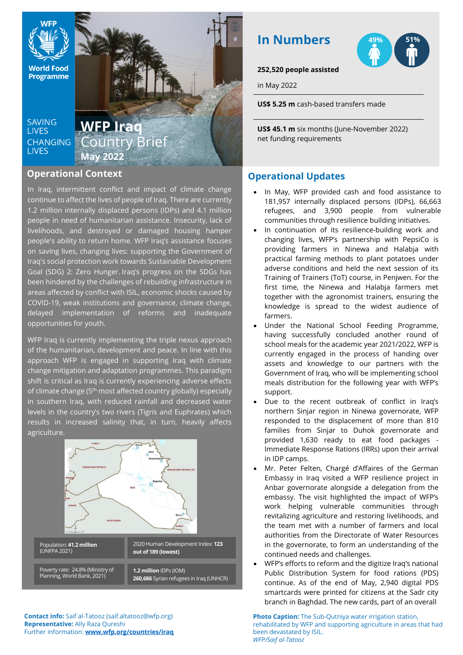**World Food Programme** 

**SAVING LIVES CHANGING LIVES** 

# **WFP Iraq** Country Brief **May 2022**

## **Operational Context**

In Iraq, intermittent conflict and impact of climate change continue to affect the lives of people of Iraq. There are currently 1.2 million internally displaced persons (IDPs) and 4.1 million people in need of humanitarian assistance. Insecurity, lack of livelihoods, and destroyed or damaged housing hamper people's ability to return home. WFP Iraq's assistance focuses on saving lives, changing lives: supporting the Government of Iraq's social protection work towards Sustainable Development Goal (SDG) 2: Zero Hunger. Iraq's progress on the SDGs has been hindered by the challenges of rebuilding infrastructure in areas affected by conflict with ISIL, economic shocks caused by COVID-19, weak institutions and governance, climate change, delayed implementation of reforms and inadequate opportunities for youth.

WFP Iraq is currently implementing the triple nexus approach of the humanitarian, development and peace. In line with this approach WFP is engaged in supporting Iraq with climate change mitigation and adaptation programmes. This paradigm shift is critical as Iraq is currently experiencing adverse effects of climate change (5<sup>th</sup> most affected country globally) especially in southern Iraq, with reduced rainfall and decreased water levels in the country's two rivers (Tigris and Euphrates) which results in increased salinity that, in turn, heavily affects agriculture.





### **252,520 people assisted**

**In Numbers**

in May 2022

**US\$ 5.25 m** cash-based transfers made

**US\$ 45.1 m** six months (June-November 2022) net funding requirements

## **Operational Updates**

- In May, WFP provided cash and food assistance to 181,957 internally displaced persons (IDPs), 66,663 refugees, and 3,900 people from vulnerable communities through resilience building initiatives.
- In continuation of its resilience-building work and changing lives, WFP's partnership with PepsiCo is providing farmers in Ninewa and Halabja with practical farming methods to plant potatoes under adverse conditions and held the next session of its Training of Trainers (ToT) course, in Penjwen. For the first time, the Ninewa and Halabja farmers met together with the agronomist trainers, ensuring the knowledge is spread to the widest audience of farmers.
- Under the National School Feeding Programme, having successfully concluded another round of school meals for the academic year 2021/2022, WFP is currently engaged in the process of handing over assets and knowledge to our partners with the Government of Iraq, who will be implementing school meals distribution for the following year with WFP's support.
- Due to the recent outbreak of conflict in Iraq's northern Sinjar region in Ninewa governorate, WFP responded to the displacement of more than 810 families from Sinjar to Duhok governorate and provided 1,630 ready to eat food packages - Immediate Response Rations (IRRs) upon their arrival in IDP camps.
- Mr. Peter Felten, Chargé d'Affaires of the German Embassy in Iraq visited a WFP resilience project in Anbar governorate alongside a delegation from the embassy. The visit highlighted the impact of WFP's work helping vulnerable communities through revitalizing agriculture and restoring livelihoods, and the team met with a number of farmers and local authorities from the Directorate of Water Resources in the governorate, to form an understanding of the continued needs and challenges.
- WFP's efforts to reform and the digitize Iraq's national Public Distribution System for food rations (PDS) continue. As of the end of May, 2,940 digital PDS smartcards were printed for citizens at the Sadr city branch in Baghdad. The new cards, part of an overall

**Photo Caption:** The Sub-Qutniya water irrigation station, rehabilitated by WFP and supporting agriculture in areas that had been devastated by ISIL. *WFP/Saif al-Tatooz*

**Contact info:** Saif al-Tatooz (saif.altatooz@wfp.org) **Representative:** Ally Raza Qureshi Further information: **[www.wfp.org/countries/iraq](http://www.wfp.org/countries/iraq)**